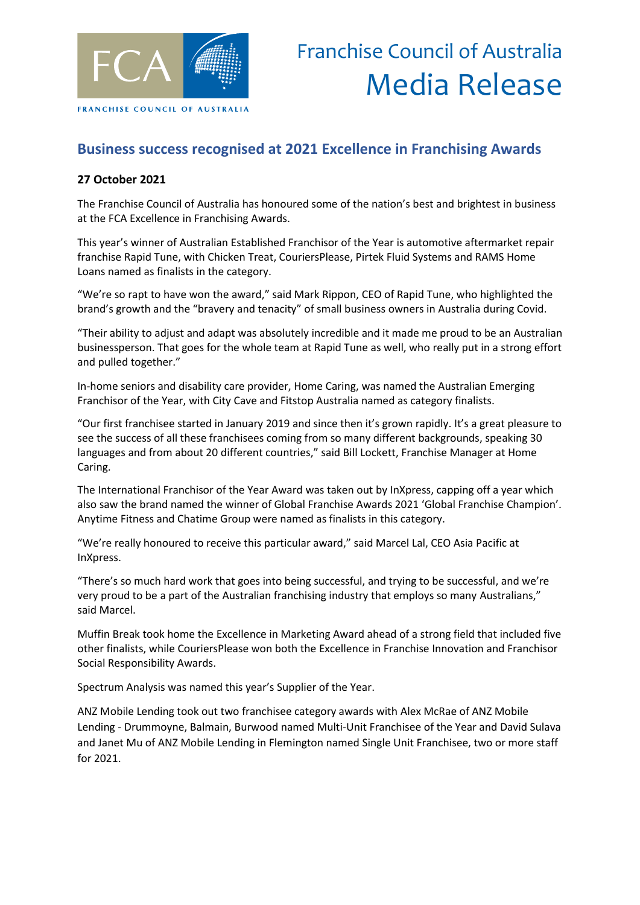

## **Business success recognised at 2021 Excellence in Franchising Awards**

### **27 October 2021**

The Franchise Council of Australia has honoured some of the nation's best and brightest in business at the FCA Excellence in Franchising Awards.

This year's winner of Australian Established Franchisor of the Year is automotive aftermarket repair franchise Rapid Tune, with Chicken Treat, CouriersPlease, Pirtek Fluid Systems and RAMS Home Loans named as finalists in the category.

"We're so rapt to have won the award," said Mark Rippon, CEO of Rapid Tune, who highlighted the brand's growth and the "bravery and tenacity" of small business owners in Australia during Covid.

"Their ability to adjust and adapt was absolutely incredible and it made me proud to be an Australian businessperson. That goes for the whole team at Rapid Tune as well, who really put in a strong effort and pulled together."

In-home seniors and disability care provider, Home Caring, was named the Australian Emerging Franchisor of the Year, with City Cave and Fitstop Australia named as category finalists.

"Our first franchisee started in January 2019 and since then it's grown rapidly. It's a great pleasure to see the success of all these franchisees coming from so many different backgrounds, speaking 30 languages and from about 20 different countries," said Bill Lockett, Franchise Manager at Home Caring.

The International Franchisor of the Year Award was taken out by InXpress, capping off a year which also saw the brand named the winner of Global Franchise Awards 2021 'Global Franchise Champion'. Anytime Fitness and Chatime Group were named as finalists in this category.

"We're really honoured to receive this particular award," said Marcel Lal, CEO Asia Pacific at InXpress.

"There's so much hard work that goes into being successful, and trying to be successful, and we're very proud to be a part of the Australian franchising industry that employs so many Australians," said Marcel.

Muffin Break took home the Excellence in Marketing Award ahead of a strong field that included five other finalists, while CouriersPlease won both the Excellence in Franchise Innovation and Franchisor Social Responsibility Awards.

Spectrum Analysis was named this year's Supplier of the Year.

ANZ Mobile Lending took out two franchisee category awards with Alex McRae of ANZ Mobile Lending - Drummoyne, Balmain, Burwood named Multi-Unit Franchisee of the Year and David Sulava and Janet Mu of ANZ Mobile Lending in Flemington named Single Unit Franchisee, two or more staff for 2021.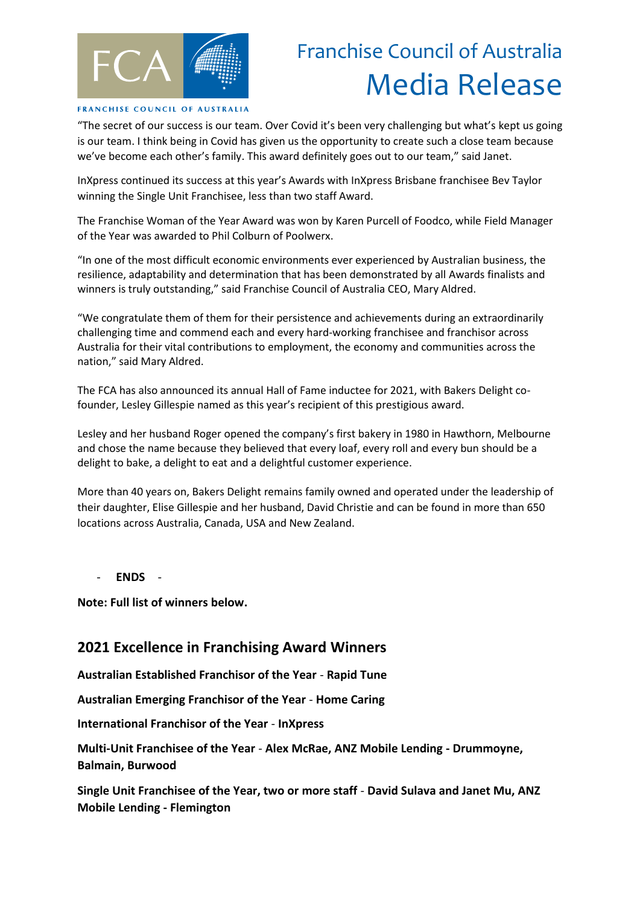

# Franchise Council of Australia Media Release

#### FRANCHISE COUNCIL OF AUSTRALIA

"The secret of our success is our team. Over Covid it's been very challenging but what's kept us going is our team. I think being in Covid has given us the opportunity to create such a close team because we've become each other's family. This award definitely goes out to our team," said Janet.

InXpress continued its success at this year's Awards with InXpress Brisbane franchisee Bev Taylor winning the Single Unit Franchisee, less than two staff Award.

The Franchise Woman of the Year Award was won by Karen Purcell of Foodco, while Field Manager of the Year was awarded to Phil Colburn of Poolwerx.

"In one of the most difficult economic environments ever experienced by Australian business, the resilience, adaptability and determination that has been demonstrated by all Awards finalists and winners is truly outstanding," said Franchise Council of Australia CEO, Mary Aldred.

"We congratulate them of them for their persistence and achievements during an extraordinarily challenging time and commend each and every hard-working franchisee and franchisor across Australia for their vital contributions to employment, the economy and communities across the nation," said Mary Aldred.

The FCA has also announced its annual Hall of Fame inductee for 2021, with Bakers Delight cofounder, Lesley Gillespie named as this year's recipient of this prestigious award.

Lesley and her husband Roger opened the company's first bakery in 1980 in Hawthorn, Melbourne and chose the name because they believed that every loaf, every roll and every bun should be a delight to bake, a delight to eat and a delightful customer experience.

More than 40 years on, Bakers Delight remains family owned and operated under the leadership of their daughter, Elise Gillespie and her husband, David Christie and can be found in more than 650 locations across Australia, Canada, USA and New Zealand.

- **ENDS** -

**Note: Full list of winners below.**

### **2021 Excellence in Franchising Award Winners**

**Australian Established Franchisor of the Year** - **Rapid Tune**

**Australian Emerging Franchisor of the Year** - **Home Caring** 

**International Franchisor of the Year** - **InXpress** 

**Multi-Unit Franchisee of the Year** - **Alex McRae, ANZ Mobile Lending - Drummoyne, Balmain, Burwood**

**Single Unit Franchisee of the Year, two or more staff** - **David Sulava and Janet Mu, ANZ Mobile Lending - Flemington**